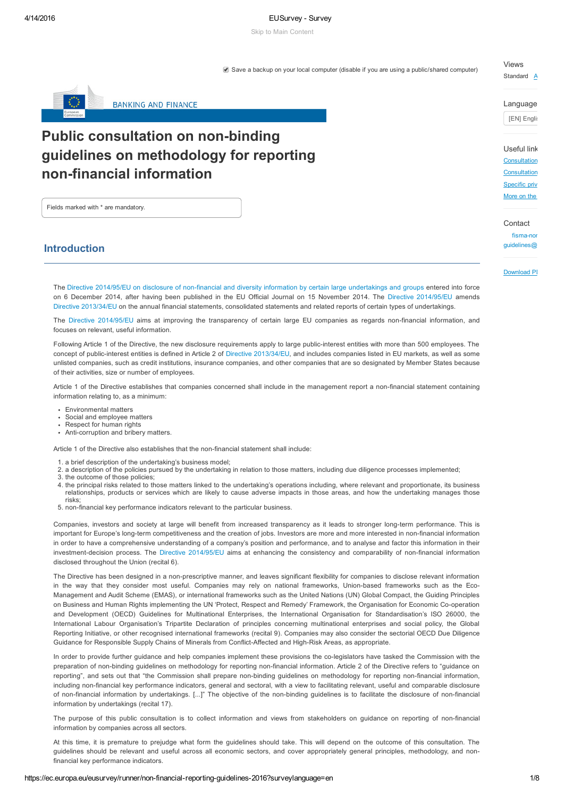## 4/14/2016 EUSurvey Survey

Skip to Main [Content](#page-0-0)

Save a backup on your local computer (disable if you are using a public/shared computer)

# Views

Standard  $A$ 

Language

[EN] Englis

Useful link

[Consultation](http://ec.europa.eu/finance/consultations/2016/non-financial-reporting-guidelines/index_en.htm) [Consultation](http://ec.europa.eu/finance/consultations/2016/non-financial-reporting-guidelines/docs/consultation-document_en.pdf) [Specific](http://ec.europa.eu/finance/consultations/2016/non-financial-reporting-guidelines/docs/privacy-statement_en.pdf) priv [More](http://ec.europa.eu/transparencyregister/public/homePage.do?locale=en) on the

**Contact** 

fisma-noi  $quidelines@$ 

# <span id="page-0-0"></span>Introduction

Fields marked with \* are mandatory.

Download PI

The Directive 2014/95/EU on disclosure of non-financial and diversity information by certain large [undertakings](http://eur-lex.europa.eu/legal-content/EN/TXT/?uri=CELEX:32014L0095) and groups entered into force on 6 December 2014, after having been published in the EU Official Journal on 15 November 2014. The Directive [2014/95/EU](http://eur-lex.europa.eu/legal-content/EN/TXT/?uri=CELEX:32014L0095) amends Directive [2013/34/EU](http://eur-lex.europa.eu/legal-content/EN/TXT/?uri=CELEX:32014L0034) on the annual financial statements, consolidated statements and related reports of certain types of undertakings.

The Directive [2014/95/EU](http://eur-lex.europa.eu/legal-content/EN/TXT/?uri=CELEX:32014L0095) aims at improving the transparency of certain large EU companies as regards non-financial information, and focuses on relevant, useful information.

Following Article 1 of the Directive, the new disclosure requirements apply to large public-interest entities with more than 500 employees. The concept of public-interest entities is defined in Article 2 of Directive [2013/34/EU,](http://eur-lex.europa.eu/legal-content/EN/TXT/?uri=CELEX:32013L0034) and includes companies listed in EU markets, as well as some unlisted companies, such as credit institutions, insurance companies, and other companies that are so designated by Member States because of their activities, size or number of employees.

Article 1 of the Directive establishes that companies concerned shall include in the management report a non-financial statement containing information relating to, as a minimum:

- Environmental matters
- Social and employee matters
- Respect for human rights
- Anti-corruption and bribery matters.

Article 1 of the Directive also establishes that the non-financial statement shall include:

Public consultation on non-binding

**BANKING AND FINANCE** 

non-financial information

guidelines on methodology for reporting

- 1. a brief description of the undertaking's business model;
- 2. a description of the policies pursued by the undertaking in relation to those matters, including due diligence processes implemented;
- 3. the outcome of those policies;
- 4. the principal risks related to those matters linked to the undertaking's operations including, where relevant and proportionate, its business relationships, products or services which are likely to cause adverse impacts in those areas, and how the undertaking manages those risks;
- 5. non-financial key performance indicators relevant to the particular business.

Companies, investors and society at large will benefit from increased transparency as it leads to stronger long-term performance. This is important for Europe's long-term competitiveness and the creation of jobs. Investors are more and more interested in non-financial information in order to have a comprehensive understanding of a company's position and performance, and to analyse and factor this information in their investment-decision process. The Directive [2014/95/EU](http://eur-lex.europa.eu/legal-content/EN/TXT/?uri=CELEX:32014L0095) aims at enhancing the consistency and comparability of non-financial information disclosed throughout the Union (recital 6).

The Directive has been designed in a non-prescriptive manner, and leaves significant flexibility for companies to disclose relevant information in the way that they consider most useful. Companies may rely on national frameworks, Union-based frameworks such as the Eco-Management and Audit Scheme (EMAS), or international frameworks such as the United Nations (UN) Global Compact, the Guiding Principles on Business and Human Rights implementing the UN 'Protect, Respect and Remedy' Framework, the Organisation for Economic Co-operation and Development (OECD) Guidelines for Multinational Enterprises, the International Organisation for Standardisation's ISO 26000, the International Labour Organisation's Tripartite Declaration of principles concerning multinational enterprises and social policy, the Global Reporting Initiative, or other recognised international frameworks (recital 9). Companies may also consider the sectorial OECD Due Diligence Guidance for Responsible Supply Chains of Minerals from Conflict-Affected and High-Risk Areas, as appropriate.

In order to provide further guidance and help companies implement these provisions the co-legislators have tasked the Commission with the preparation of non-binding guidelines on methodology for reporting non-financial information. Article 2 of the Directive refers to "guidance on reporting", and sets out that "the Commission shall prepare non-binding guidelines on methodology for reporting non-financial information, including non-financial key performance indicators, general and sectoral, with a view to facilitating relevant, useful and comparable disclosure of non-financial information by undertakings. [...]" The objective of the non-binding guidelines is to facilitate the disclosure of non-financial information by undertakings (recital 17).

The purpose of this public consultation is to collect information and views from stakeholders on guidance on reporting of nonfinancial information by companies across all sectors.

At this time, it is premature to prejudge what form the guidelines should take. This will depend on the outcome of this consultation. The guidelines should be relevant and useful across all economic sectors, and cover appropriately general principles, methodology, and nonfinancial key performance indicators.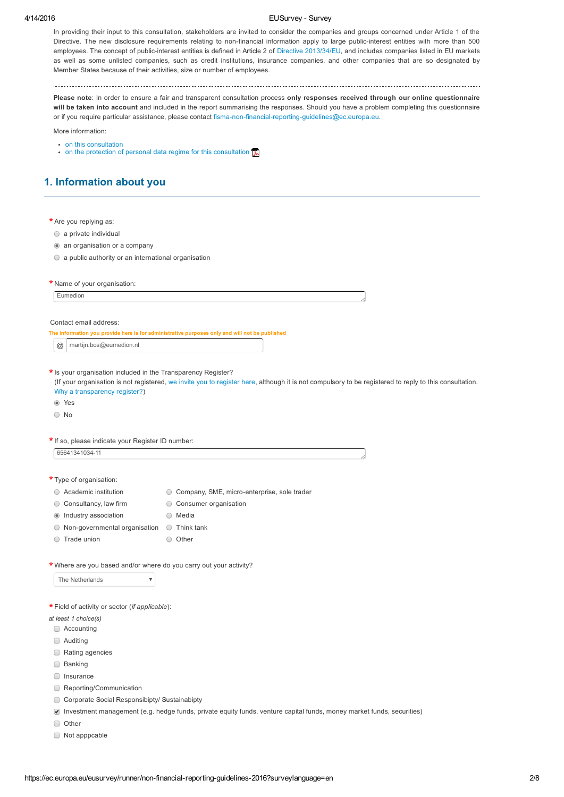## 4/14/2016 **EUSurvey - Survey**

In providing their input to this consultation, stakeholders are invited to consider the companies and groups concerned under Article 1 of the Directive. The new disclosure requirements relating to non-financial information apply to large public-interest entities with more than 500 employees. The concept of public-interest entities is defined in Article 2 of Directive [2013/34/EU](http://eur-lex.europa.eu/legal-content/EN/TXT/?uri=CELEX:32013L0034), and includes companies listed in EU markets as well as some unlisted companies, such as credit institutions, insurance companies, and other companies that are so designated by Member States because of their activities, size or number of employees.

Please note: In order to ensure a fair and transparent consultation process only responses received through our online questionnaire will be taken into account and included in the report summarising the responses. Should you have a problem completing this questionnaire or if you require particular assistance, please contact fisma-non-financial-reporting-guidelines@ec.europa.eu.

More information:

- on this [consultation](http://ec.europa.eu/finance/consultations/2016/non-financial-reporting-guidelines/index_en.htm)
- on the protection of personal data regime for this [consultation](http://ec.europa.eu/finance/consultations/2016/non-financial-reporting-guidelines/docs/privacy-statement_en.pdf)  $\mathbb{Z}$

# 1. Information about you

| * Are you replying as:                                              |                                                                                                                                                        |
|---------------------------------------------------------------------|--------------------------------------------------------------------------------------------------------------------------------------------------------|
| $\circ$ a private individual                                        |                                                                                                                                                        |
| an organisation or a company                                        |                                                                                                                                                        |
| $\circ$ a public authority or an international organisation         |                                                                                                                                                        |
| * Name of your organisation:                                        |                                                                                                                                                        |
| Eumedion                                                            |                                                                                                                                                        |
|                                                                     |                                                                                                                                                        |
| Contact email address:                                              |                                                                                                                                                        |
|                                                                     | The information you provide here is for administrative purposes only and will not be published                                                         |
| martijn.bos@eumedion.nl<br>$^\text{\textregistered}$                |                                                                                                                                                        |
|                                                                     |                                                                                                                                                        |
| * Is your organisation included in the Transparency Register?       | (If your organisation is not registered, we invite you to register here, although it is not compulsory to be registered to reply to this consultation. |
| Why a transparency register?)                                       |                                                                                                                                                        |
| ◉ Yes                                                               |                                                                                                                                                        |
| $\bigcirc$ No                                                       |                                                                                                                                                        |
|                                                                     |                                                                                                                                                        |
| * If so, please indicate your Register ID number:<br>65641341034-11 |                                                                                                                                                        |
|                                                                     |                                                                                                                                                        |
| * Type of organisation:                                             |                                                                                                                                                        |
| ◯ Academic institution                                              | ○ Company, SME, micro-enterprise, sole trader                                                                                                          |
| $\circ$ Consultancy, law firm                                       | ◯ Consumer organisation                                                                                                                                |
| Industry association<br>$\circledcirc$                              | ○ Media                                                                                                                                                |
| Non-governmental organisation<br>$\cup$                             | $\circ$ Think tank                                                                                                                                     |
| Trade union<br>O                                                    | O Other                                                                                                                                                |
|                                                                     |                                                                                                                                                        |
| * Where are you based and/or where do you carry out your activity?  |                                                                                                                                                        |
| The Netherlands<br>$\overline{\mathbf{v}}$                          |                                                                                                                                                        |
|                                                                     |                                                                                                                                                        |
| * Field of activity or sector (if applicable):                      |                                                                                                                                                        |
| at least 1 choice(s)                                                |                                                                                                                                                        |
| Accounting<br>U                                                     |                                                                                                                                                        |
| Auditing<br>$\Box$                                                  |                                                                                                                                                        |
| Rating agencies<br>$\Box$                                           |                                                                                                                                                        |
| Banking<br>U                                                        |                                                                                                                                                        |
| Insurance<br>U                                                      |                                                                                                                                                        |
| Reporting/Communication<br>U                                        |                                                                                                                                                        |
| Corporate Social Responsibipty/ Sustainabipty<br>$\Box$             |                                                                                                                                                        |
| $\blacktriangledown$                                                | Investment management (e.g. hedge funds, private equity funds, venture capital funds, money market funds, securities)                                  |
| Other<br>$\Box$                                                     |                                                                                                                                                        |
| $\Box$ Not apppcable                                                |                                                                                                                                                        |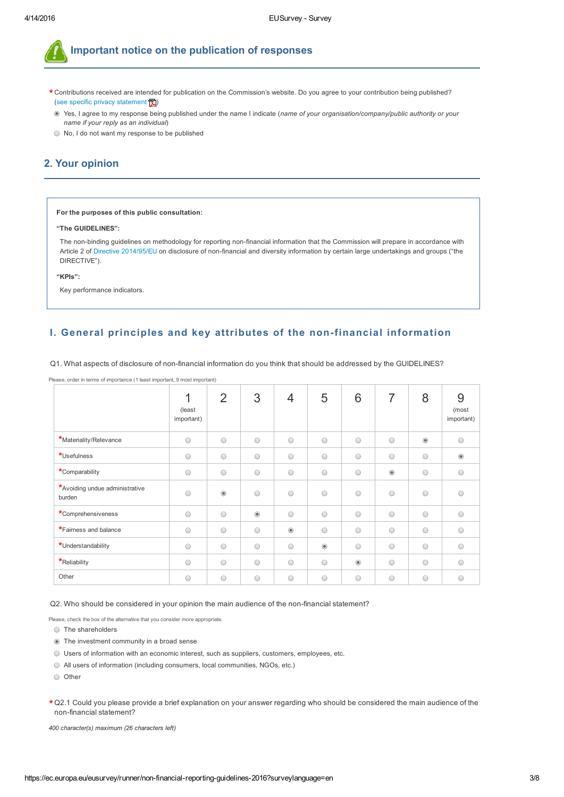

Important notice on the publication of responses

- $\star$  Contributions received are intended for publication on the Commission's website. Do you agree to your contribution being published? (see specific privacy [statement](http://ec.europa.eu/finance/consultations/2016/non-financial-reporting-guidelines/docs/privacy-statement_en.pdf)  $\boxed{2}$ )
- Yes, I agree to my response being published under the name I indicate (*name of your organisation/company/public authority or your name if your reply as an individual*)
- No, I do not want my response to be published

# 2. Your opinion

### For the purposes of this public consultation:

Please, order in terms of importance (1 least important, 9 most important)

## "The GUIDELINES":

The non-binding guidelines on methodology for reporting non-financial information that the Commission will prepare in accordance with Article 2 of Directive [2014/95/EU](http://eur-lex.europa.eu/legal-content/EN/TXT/?uri=CELEX:32014L0095) on disclosure of non-financial and diversity information by certain large undertakings and groups ("the DIRECTIVE").

"KPIs":

Key performance indicators.

# I. General principles and key attributes of the non-financial information

|                                          | 1<br>(least<br>important) | 2              | 3              | 4              | 5              | 6                                      | 7          | 8                                                 | 9<br>(most<br>important) |
|------------------------------------------|---------------------------|----------------|----------------|----------------|----------------|----------------------------------------|------------|---------------------------------------------------|--------------------------|
| *Materiality/Relevance                   | $\bigcirc$                | $\bigcirc$     | $\bigcirc$     | $\bigcirc$     | $\bigcirc$     | $\bigcirc$                             | $\bigcirc$ | $\begin{array}{c} \bullet \\ \bullet \end{array}$ | $\bigcirc$               |
| *Usefulness                              | $\bigcirc$                | $\bigcirc$     | $\bigcirc$     | $\bigcirc$     | $\bigcirc$     | $\bigcirc$                             | $\bigcirc$ | $\bigcirc$                                        | $\circledcirc$           |
| *Comparability                           | $\bigcirc$                | $\bigcirc$     | $\bigcirc$     | $\bigcirc$     | $\bigcirc$     | $\bigcirc$                             | $\odot$    | $\bigcirc$                                        | $\bigcirc$               |
| *Avoiding undue administrative<br>burden | $\bigcirc$                | $\circledcirc$ | $\bigcap$      | $\bigcirc$     | $\bigcirc$     | $\bigcirc$                             | $\bigcirc$ | $\bigcirc$                                        |                          |
| *Comprehensiveness                       | $\bigcirc$                | $\bigcirc$     | $\circledcirc$ | $\bigcirc$     | $\bigcirc$     | $\bigcirc$                             | $\bigcirc$ | $\bigcirc$                                        | $\bigcirc$               |
| *Fairness and balance                    | $\bigcirc$                | $\bigcirc$     | $\bigcirc$     | $\circledcirc$ | $\bigcirc$     | $\bigcirc$                             | $\bigcirc$ | $\bigcirc$                                        | ∩                        |
| *Understandability                       | $\bigcirc$                | $\bigcirc$     | $\bigcirc$     | $\bigcirc$     | $\circledcirc$ | $\bigcirc$                             | $\bigcirc$ | $\bigcirc$                                        | ∩                        |
| *Reliability                             | $\bigcirc$                | $\bigcirc$     | $\bigcirc$     | $\bigcirc$     | $\bigcirc$     | $\begin{array}{c} \bullet \end{array}$ | $\bigcirc$ | $\bigcirc$                                        | $\bigcirc$               |
| Other                                    | $\bigcirc$                | $\circ$        | $\bigcirc$     | $\bigcirc$     | $\bigcirc$     | $\bigcirc$                             | $\bigcirc$ | $\bigcirc$                                        | $\bigcirc$               |

Q1. What aspects of disclosure of non-financial information do you think that should be addressed by the GUIDELINES?

Q2. Who should be considered in your opinion the main audience of the non-financial statement?

Please, check the box of the alternative that you consider more appropriate

- O The shareholders
- The investment community in a broad sense
- Users of information with an economic interest, such as suppliers, customers, employees, etc.
- All users of information (including consumers, local communities, NGOs, etc.)
- O Other
- $\star$  Q2.1 Could you please provide a brief explanation on your answer regarding who should be considered the main audience of the non-financial statement?

*400 character(s) maximum (26 characters left)*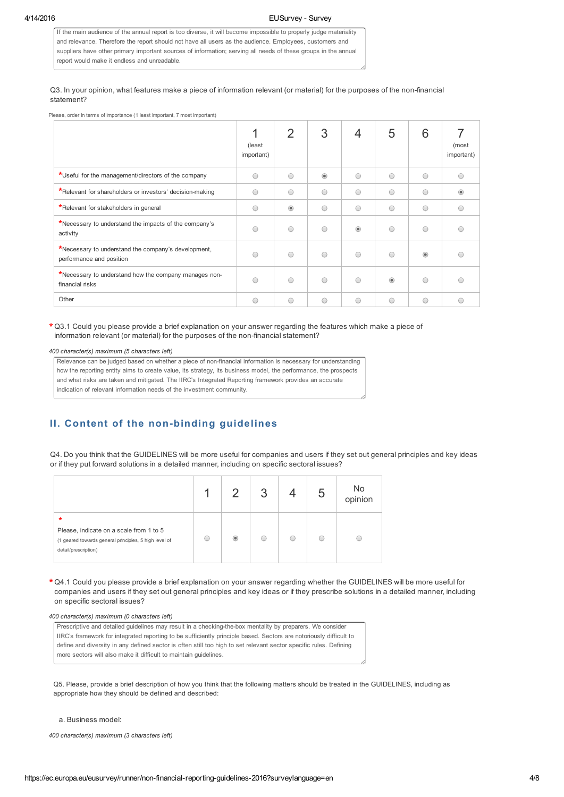If the main audience of the annual report is too diverse, it will become impossible to properly judge materiality and relevance. Therefore the report should not have all users as the audience. Employees, customers and suppliers have other primary important sources of information; serving all needs of these groups in the annual report would make it endless and unreadable.

## Q3. In your opinion, what features make a piece of information relevant (or material) for the purposes of the non-financial statement?

Please, order in terms of importance (1 least important, 7 most important)

|                                                                                 | (least)<br>important) | 2              | 3              | 4          | 5          | 6          | (most<br>important) |
|---------------------------------------------------------------------------------|-----------------------|----------------|----------------|------------|------------|------------|---------------------|
| *Useful for the management/directors of the company                             | ∩                     | ⊂              | $\circledcirc$ | $\bigcirc$ | $\bigcirc$ | ∩          |                     |
| *Relevant for shareholders or investors' decision-making                        | $\bigcap$             | ∩              | $\bigcirc$     | $\bigcirc$ | $\bigcirc$ | $\bigcirc$ |                     |
| *Relevant for stakeholders in general                                           | O                     | $\circledcirc$ | $\bigcirc$     | $\bigcirc$ | $\bigcirc$ | $\bigcirc$ |                     |
| *Necessary to understand the impacts of the company's<br>activity               | ∩                     | ∩              | $\bigcirc$     | $\circ$    | ∩          | ∩          |                     |
| *Necessary to understand the company's development,<br>performance and position | ∩                     | ∩              | $\bigcap$      | $\bigcirc$ | $\bigcap$  | ⋒          |                     |
| *Necessary to understand how the company manages non-<br>financial risks        | $\bigcap$             | ◠              | $\bigcap$      | $\bigcirc$ | $^{\circ}$ | ∩          |                     |
| Other                                                                           | O                     | O              | $\bigcirc$     | O          | $\bigcirc$ | $\bigcirc$ | €                   |

 $\star$  Q3.1 Could you please provide a brief explanation on your answer regarding the features which make a piece of information relevant (or material) for the purposes of the non-financial statement?

### *400 character(s) maximum (5 characters left)*

Relevance can be judged based on whether a piece of non-financial information is necessary for understanding how the reporting entity aims to create value, its strategy, its business model, the performance, the prospects and what risks are taken and mitigated. The IIRC's Integrated Reporting framework provides an accurate indication of relevant information needs of the investment community.

# II. Content of the non-binding guidelines

Q4. Do you think that the GUIDELINES will be more useful for companies and users if they set out general principles and key ideas or if they put forward solutions in a detailed manner, including on specific sectoral issues?

|                                                                                                                                    | $\mathcal{D}$            |  | No<br>opinion |
|------------------------------------------------------------------------------------------------------------------------------------|--------------------------|--|---------------|
| $\ast$<br>Please, indicate on a scale from 1 to 5<br>(1 geared towards general principles, 5 high level of<br>detail/prescription) | $\left( \bullet \right)$ |  |               |

 $\star$  Q4.1 Could you please provide a brief explanation on your answer regarding whether the GUIDELINES will be more useful for companies and users if they set out general principles and key ideas or if they prescribe solutions in a detailed manner, including on specific sectoral issues?

#### *400 character(s) maximum (0 characters left)*

Prescriptive and detailed guidelines may result in a checking-the-box mentality by preparers. We consider IIRC's framework for integrated reporting to be sufficiently principle based. Sectors are notoriously difficult to define and diversity in any defined sector is often still too high to set relevant sector specific rules. Defining more sectors will also make it difficult to maintain guidelines.

Q5. Please, provide a brief description of how you think that the following matters should be treated in the GUIDELINES, including as appropriate how they should be defined and described:

## a. Business model:

*400 character(s) maximum (3 characters left)*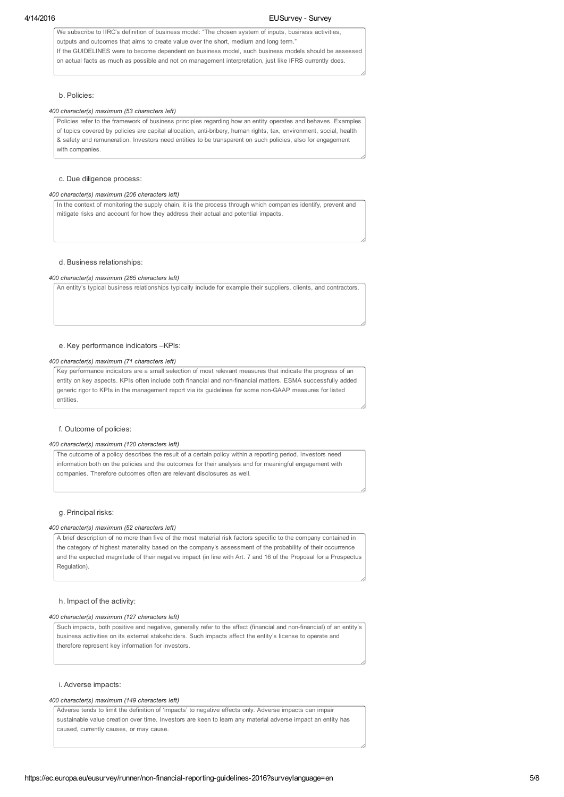We subscribe to IIRC's definition of business model: "The chosen system of inputs, business activities, outputs and outcomes that aims to create value over the short, medium and long term." If the GUIDELINES were to become dependent on business model, such business models should be assessed on actual facts as much as possible and not on management interpretation, just like IFRS currently does.

## b. Policies:

### *400 character(s) maximum (53 characters left)*

Policies refer to the framework of business principles regarding how an entity operates and behaves. Examples of topics covered by policies are capital allocation, anti-bribery, human rights, tax, environment, social, health & safety and remuneration. Investors need entities to be transparent on such policies, also for engagement with companies

## c. Due diligence process:

#### *400 character(s) maximum (206 characters left)*

In the context of monitoring the supply chain, it is the process through which companies identify, prevent and mitigate risks and account for how they address their actual and potential impacts.

#### d. Business relationships:

#### *400 character(s) maximum (285 characters left)*

An entity's typical business relationships typically include for example their suppliers, clients, and contractors.

#### e. Key performance indicators –KPIs:

#### *400 character(s) maximum (71 characters left)*

Key performance indicators are a small selection of most relevant measures that indicate the progress of an entity on key aspects. KPIs often include both financial and non-financial matters. ESMA successfully added generic rigor to KPIs in the management report via its guidelines for some nonGAAP measures for listed entities.

#### f. Outcome of policies:

#### *400 character(s) maximum (120 characters left)*

The outcome of a policy describes the result of a certain policy within a reporting period. Investors need information both on the policies and the outcomes for their analysis and for meaningful engagement with companies. Therefore outcomes often are relevant disclosures as well.

### g. Principal risks:

#### *400 character(s) maximum (52 characters left)*

A brief description of no more than five of the most material risk factors specific to the company contained in the category of highest materiality based on the company's assessment of the probability of their occurrence and the expected magnitude of their negative impact (in line with Art. 7 and 16 of the Proposal for a Prospectus Regulation).

#### h. Impact of the activity:

### *400 character(s) maximum (127 characters left)*

Such impacts, both positive and negative, generally refer to the effect (financial and non-financial) of an entity's business activities on its external stakeholders. Such impacts affect the entity's license to operate and therefore represent key information for investors.

#### i. Adverse impacts:

#### *400 character(s) maximum (149 characters left)*

Adverse tends to limit the definition of 'impacts' to negative effects only. Adverse impacts can impair sustainable value creation over time. Investors are keen to learn any material adverse impact an entity has caused, currently causes, or may cause.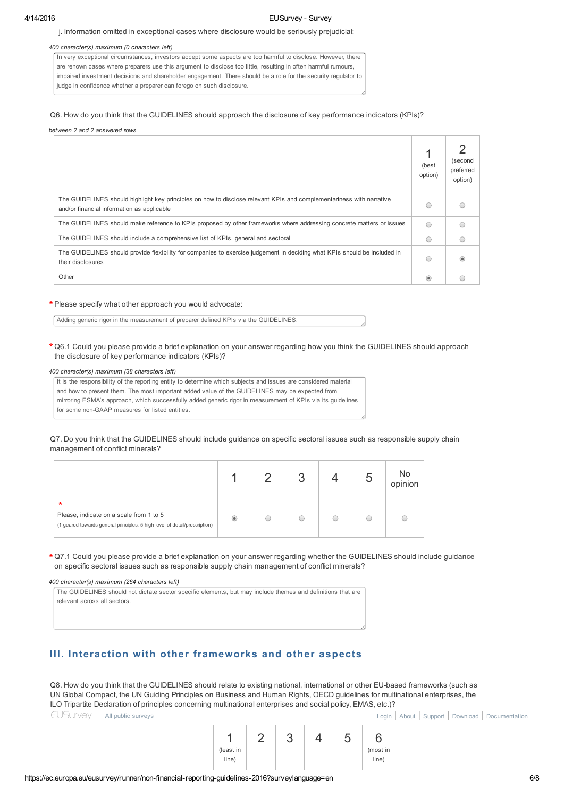#### j. Information omitted in exceptional cases where disclosure would be seriously prejudicial:

### *400 character(s) maximum (0 characters left)*

In very exceptional circumstances, investors accept some aspects are too harmful to disclose. However, there are renown cases where preparers use this argument to disclose too little, resulting in often harmful rumours, impaired investment decisions and shareholder engagement. There should be a role for the security regulator to judge in confidence whether a preparer can forego on such disclosure.

## Q6. How do you think that the GUIDELINES should approach the disclosure of key performance indicators (KPIs)?

#### *between 2 and 2 answered rows*

|                                                                                                                                                                    | (best<br>option)       | (second<br>preferred<br>option) |
|--------------------------------------------------------------------------------------------------------------------------------------------------------------------|------------------------|---------------------------------|
| The GUIDELINES should highlight key principles on how to disclose relevant KPIs and complementariness with narrative<br>and/or financial information as applicable | $\left( \quad \right)$ |                                 |
| The GUIDELINES should make reference to KPIs proposed by other frameworks where addressing concrete matters or issues                                              | $\bigcap$              |                                 |
| The GUIDELINES should include a comprehensive list of KPIs, general and sectoral                                                                                   | $\bigcirc$             |                                 |
| The GUIDELINES should provide flexibility for companies to exercise judgement in deciding what KPIs should be included in<br>their disclosures                     | $($ )                  |                                 |
| Other                                                                                                                                                              | $\circ$                |                                 |

# Please specify what other approach you would advocate: \*

Adding generic rigor in the measurement of preparer defined KPIs via the GUIDELINES.

 $\star$  Q6.1 Could you please provide a brief explanation on your answer regarding how you think the GUIDELINES should approach the disclosure of key performance indicators (KPIs)?

## *400 character(s) maximum (38 characters left)*

It is the responsibility of the reporting entity to determine which subjects and issues are considered material and how to present them. The most important added value of the GUIDELINES may be expected from mirroring ESMA's approach, which successfully added generic rigor in measurement of KPIs via its guidelines for some non-GAAP measures for listed entities.

Q7. Do you think that the GUIDELINES should include guidance on specific sectoral issues such as responsible supply chain management of conflict minerals?

|                                                                                                                                 |  |  | No<br>opinion |
|---------------------------------------------------------------------------------------------------------------------------------|--|--|---------------|
| $\ast$<br>Please, indicate on a scale from 1 to 5<br>(1 geared towards general principles, 5 high level of detail/prescription) |  |  |               |

 $\star$  Q7.1 Could you please provide a brief explanation on your answer regarding whether the GUIDELINES should include guidance on specific sectoral issues such as responsible supply chain management of conflict minerals?

#### *400 character(s) maximum (264 characters left)*

The GUIDELINES should not dictate sector specific elements, but may include themes and definitions that are relevant across all sectors.

# III. Interaction with other frameworks and other aspects

Q8. How do you think that the GUIDELINES should relate to existing national, international or other EU-based frameworks (such as UN Global Compact, the UN Guiding Principles on Business and Human Rights, OECD guidelines for multinational enterprises, the ILO Tripartite Declaration of principles concerning multinational enterprises and social policy, EMAS, etc.)?

 $\epsilon$ [EUSurvey](https://ec.europa.eu/eusurvey/home/welcome;JSESSIONIDEUSURVEY=CAF9833BC5B791F349D34E268FC820D7/runner) All public [surveys](https://ec.europa.eu/eusurvey/home/publicsurveys;JSESSIONIDEUSURVEY=CAF9833BC5B791F349D34E268FC820D7/runner) [Login](https://ec.europa.eu/eusurvey/auth/login;JSESSIONIDEUSURVEY=CAF9833BC5B791F349D34E268FC820D7/runner) | [About](https://ec.europa.eu/eusurvey/home/about;JSESSIONIDEUSURVEY=CAF9833BC5B791F349D34E268FC820D7/runner) | [Support](https://ec.europa.eu/eusurvey/home/support;JSESSIONIDEUSURVEY=CAF9833BC5B791F349D34E268FC820D7/runner) | [Download](https://ec.europa.eu/eusurvey/home/download;JSESSIONIDEUSURVEY=CAF9833BC5B791F349D34E268FC820D7/runner) | [Documentation](https://ec.europa.eu/eusurvey/home/documentation;JSESSIONIDEUSURVEY=CAF9833BC5B791F349D34E268FC820D7/runner)

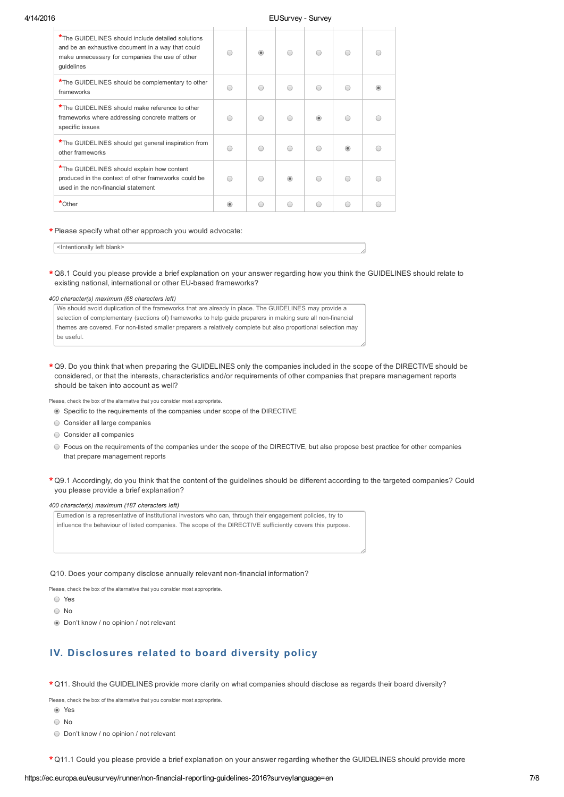## 4/14/2016 EUSurvey Survey

| *The GUIDELINES should include detailed solutions<br>and be an exhaustive document in a way that could<br>make unnecessary for companies the use of other<br>quidelines |         | ⋒ |                |   |  |
|-------------------------------------------------------------------------------------------------------------------------------------------------------------------------|---------|---|----------------|---|--|
| *The GUIDELINES should be complementary to other<br>frameworks                                                                                                          |         |   |                |   |  |
| *The GUIDELINES should make reference to other<br>frameworks where addressing concrete matters or<br>specific issues                                                    |         |   | $\circledcirc$ |   |  |
| *The GUIDELINES should get general inspiration from<br>other frameworks                                                                                                 | ∩       |   |                | 6 |  |
| *The GUIDELINES should explain how content<br>produced in the context of other frameworks could be<br>used in the non-financial statement                               |         |   |                |   |  |
| $*$ Other                                                                                                                                                               | $\circ$ |   | $\bigcirc$     |   |  |

## Please specify what other approach you would advocate: \*

<Intentionally left blank>

 $\star$  Q8.1 Could you please provide a brief explanation on your answer regarding how you think the GUIDELINES should relate to existing national, international or other EU-based frameworks?

## *400 character(s) maximum (68 characters left)*

| We should avoid duplication of the frameworks that are already in place. The GUIDELINES may provide a          |
|----------------------------------------------------------------------------------------------------------------|
| selection of complementary (sections of) frameworks to help quide preparers in making sure all non-financial   |
| themes are covered. For non-listed smaller preparers a relatively complete but also proportional selection may |
| be useful.                                                                                                     |

 $\star$  Q9. Do you think that when preparing the GUIDELINES only the companies included in the scope of the DIRECTIVE should be considered, or that the interests, characteristics and/or requirements of other companies that prepare management reports should be taken into account as well?

Please, check the box of the alternative that you consider most appropriate.

Specific to the requirements of the companies under scope of the DIRECTIVE

- Consider all large companies
- $\bigcirc$  Consider all companies
- Focus on the requirements of the companies under the scope of the DIRECTIVE, but also propose best practice for other companies that prepare management reports
- $\star$  Q9.1 Accordingly, do you think that the content of the guidelines should be different according to the targeted companies? Could you please provide a brief explanation?

#### *400 character(s) maximum (187 characters left)*

Eumedion is a representative of institutional investors who can, through their engagement policies, try to influence the behaviour of listed companies. The scope of the DIRECTIVE sufficiently covers this purpose.

#### Q10. Does your company disclose annually relevant non-financial information?

Please, check the box of the alternative that you consider most appropriate

- Yes
- No
- Don't know / no opinion / not relevant

# IV. Disclosures related to board diversity policy

 $\star$  Q11. Should the GUIDELINES provide more clarity on what companies should disclose as regards their board diversity?

Please, check the box of the alternative that you consider most appropriate.

- Yes
- ∩ No
- Don't know / no opinion / not relevant

 $\star$  Q11.1 Could you please provide a brief explanation on your answer regarding whether the GUIDELINES should provide more